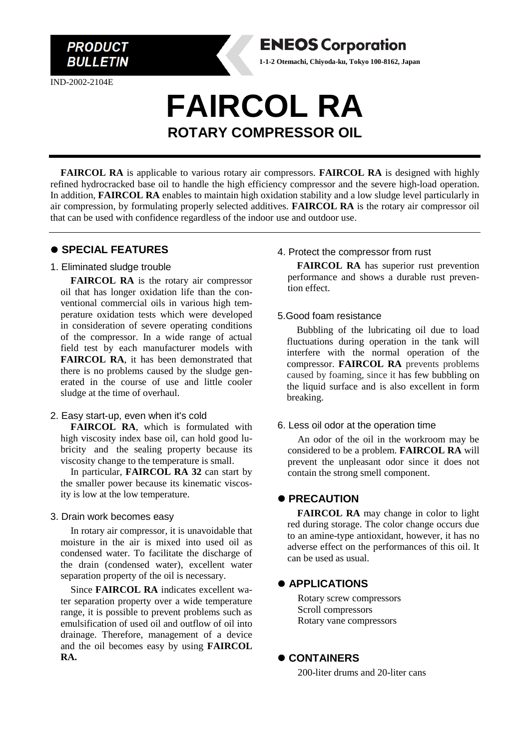IND-2002-2104E

**PRODUCT BULLETIN** 

# **FAIRCOL RA ROTARY COMPRESSOR OIL**

**FAIRCOL RA** is applicable to various rotary air compressors. **FAIRCOL RA** is designed with highly refined hydrocracked base oil to handle the high efficiency compressor and the severe high-load operation. In addition, **FAIRCOL RA** enables to maintain high oxidation stability and a low sludge level particularly in air compression, by formulating properly selected additives. **FAIRCOL RA** is the rotary air compressor oil that can be used with confidence regardless of the indoor use and outdoor use.

# ⚫ **SPECIAL FEATURES**

#### 1. Eliminated sludge trouble

**FAIRCOL RA** is the rotary air compressor oil that has longer oxidation life than the conventional commercial oils in various high temperature oxidation tests which were developed in consideration of severe operating conditions of the compressor. In a wide range of actual field test by each manufacturer models with **FAIRCOL RA**, it has been demonstrated that there is no problems caused by the sludge generated in the course of use and little cooler sludge at the time of overhaul.

# 2. Easy start-up, even when it's cold

**FAIRCOL RA**, which is formulated with high viscosity index base oil, can hold good lubricity and the sealing property because its viscosity change to the temperature is small.

In particular, **FAIRCOL RA 32** can start by the smaller power because its kinematic viscosity is low at the low temperature.

#### 3. Drain work becomes easy

In rotary air compressor, it is unavoidable that moisture in the air is mixed into used oil as condensed water. To facilitate the discharge of the drain (condensed water), excellent water separation property of the oil is necessary.

Since **FAIRCOL RA** indicates excellent water separation property over a wide temperature range, it is possible to prevent problems such as emulsification of used oil and outflow of oil into drainage. Therefore, management of a device and the oil becomes easy by using **FAIRCOL RA.**

#### 4. Protect the compressor from rust

**ENEOS Corporation 1-1-2 Otemachi, Chiyoda-ku, Tokyo 100-8162, Japan**

> **FAIRCOL RA** has superior rust prevention performance and shows a durable rust prevention effect.

### 5.Good foam resistance

 Bubbling of the lubricating oil due to load fluctuations during operation in the tank will interfere with the normal operation of the compressor. **FAIRCOL RA** prevents problems caused by foaming, since it has few bubbling on the liquid surface and is also excellent in form breaking.

#### 6. Less oil odor at the operation time

An odor of the oil in the workroom may be considered to be a problem. **FAIRCOL RA** will prevent the unpleasant odor since it does not contain the strong smell component.

# ⚫ **PRECAUTION**

**FAIRCOL RA** may change in color to light red during storage. The color change occurs due to an amine-type antioxidant, however, it has no adverse effect on the performances of this oil. It can be used as usual.

# ⚫ **APPLICATIONS**

Rotary screw compressors Scroll compressors Rotary vane compressors

## ⚫ **CONTAINERS**

200-liter drums and 20-liter cans